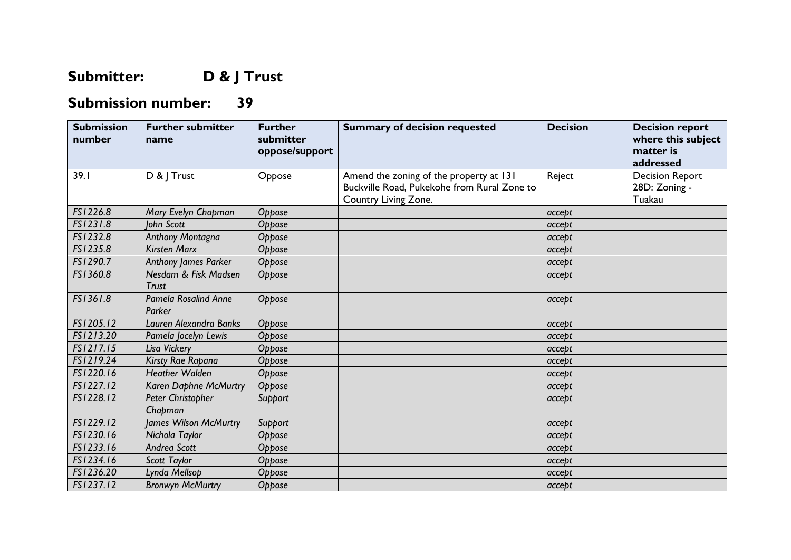## **Submitter: D & J Trust**

## **Submission number: 39**

| <b>Submission</b><br>number | <b>Further submitter</b><br>name      | <b>Further</b><br>submitter<br>oppose/support | <b>Summary of decision requested</b>                                                                           | <b>Decision</b> | <b>Decision report</b><br>where this subject<br>matter is<br>addressed |
|-----------------------------|---------------------------------------|-----------------------------------------------|----------------------------------------------------------------------------------------------------------------|-----------------|------------------------------------------------------------------------|
| 39.1                        | D & J Trust                           | Oppose                                        | Amend the zoning of the property at 131<br>Buckville Road, Pukekohe from Rural Zone to<br>Country Living Zone. | Reject          | <b>Decision Report</b><br>28D: Zoning -<br>Tuakau                      |
| FS1226.8                    | Mary Evelyn Chapman                   | Oppose                                        |                                                                                                                | accept          |                                                                        |
| FS1231.8                    | John Scott                            | Oppose                                        |                                                                                                                | accept          |                                                                        |
| FS1232.8                    | <b>Anthony Montagna</b>               | Oppose                                        |                                                                                                                | accept          |                                                                        |
| FS1235.8                    | <b>Kirsten Marx</b>                   | Oppose                                        |                                                                                                                | accept          |                                                                        |
| FS1290.7                    | <b>Anthony James Parker</b>           | Oppose                                        |                                                                                                                | accept          |                                                                        |
| FS1360.8                    | Nesdam & Fisk Madsen<br><b>Trust</b>  | Oppose                                        |                                                                                                                | accept          |                                                                        |
| FS1361.8                    | <b>Pamela Rosalind Anne</b><br>Parker | Oppose                                        |                                                                                                                | accept          |                                                                        |
| FS1205.12                   | Lauren Alexandra Banks                | Oppose                                        |                                                                                                                | accept          |                                                                        |
| FS1213.20                   | Pamela Jocelyn Lewis                  | Oppose                                        |                                                                                                                | accept          |                                                                        |
| FS1217.15                   | Lisa Vickery                          | Oppose                                        |                                                                                                                | accept          |                                                                        |
| FS1219.24                   | Kirsty Rae Rapana                     | Oppose                                        |                                                                                                                | accept          |                                                                        |
| FS1220.16                   | <b>Heather Walden</b>                 | Oppose                                        |                                                                                                                | accept          |                                                                        |
| FS1227.12                   | Karen Daphne McMurtry                 | Oppose                                        |                                                                                                                | accept          |                                                                        |
| FS1228.12                   | Peter Christopher<br>Chapman          | Support                                       |                                                                                                                | accept          |                                                                        |
| FS1229.12                   | James Wilson McMurtry                 | Support                                       |                                                                                                                | accept          |                                                                        |
| FS1230.16                   | Nichola Taylor                        | Oppose                                        |                                                                                                                | accept          |                                                                        |
| FS1233.16                   | Andrea Scott                          | Oppose                                        |                                                                                                                | accept          |                                                                        |
| FS1234.16                   | Scott Taylor                          | Oppose                                        |                                                                                                                | accept          |                                                                        |
| FS1236.20                   | Lynda Mellsop                         | Oppose                                        |                                                                                                                | accept          |                                                                        |
| FS1237.12                   | <b>Bronwyn McMurtry</b>               | Oppose                                        |                                                                                                                | accept          |                                                                        |